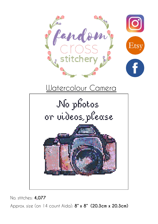



No. stitches: **4,077**

Approx. size (on 14 count Aida): **8" x 8" (20.3cm x 20.3cm)**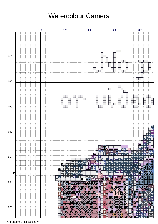

© Fandom Cross Stitchery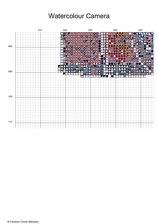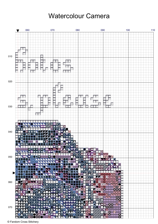

© Fandom Cross Stitchery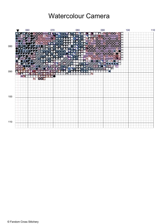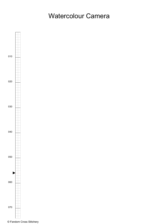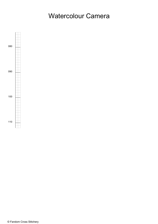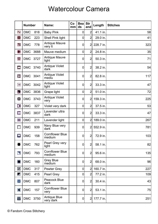|                          | <b>Number</b> |          | Name:                            | Co<br>mm | <b>Bea</b><br>ds | <b>Str</b><br>and | Length    | <b>Stitches</b> |
|--------------------------|---------------|----------|----------------------------------|----------|------------------|-------------------|-----------|-----------------|
| $\mathsf{N}$             | <b>DMC</b>    | 818      | <b>Baby Pink</b>                 |          | 0                | $\overline{2}$    | 41.1 in.  | 58              |
| ፁ                        | <b>DMC</b>    | 223      | Shell Pink light                 |          | $\mathbf 0$      | $\overline{2}$    | 29.0 in.  | 41              |
| $\triangleright$         | <b>DMC</b>    | 778      | <b>Antique Mauve</b><br>very It  |          | 0                | $\overline{2}$    | 228.7 in. | 323             |
| $\leftarrow$             | <b>DMC</b>    | 3688     | Mauve medium                     |          | $\mathbf 0$      | $\overline{2}$    | 24.8 in.  | 35              |
| $\heartsuit$             | <b>DMC</b>    | 3727     | <b>Antique Mauve</b><br>light    |          | 0                | $\overline{2}$    | 50.3 in.  | 71              |
| $\blacktriangle$         | <b>DMC</b>    | 3740     | <b>Antique Violet</b><br>dark    |          | 0                | $\overline{2}$    | 38.2 in.  | 54              |
| $\blacktriangleright$    | <b>DMC</b>    | 3041     | <b>Antique Violet</b><br>mediu   |          | 0                | $\overline{2}$    | 82.8 in.  | 117             |
| E                        | <b>DMC</b>    | 3042     | <b>Antique Violet</b><br>light   |          | 0                | $\overline{2}$    | 33.3 in.  | 47              |
| $\blacktriangleright$    | <b>DMC</b>    | 3836     | Grape light                      |          | $\overline{0}$   | $\overline{2}$    | 51.0 in.  | 72              |
| $\bullet$                | <b>DMC</b>    | 3743     | <b>Antique Violet</b><br>very    |          | 0                | 2                 | 159.3 in. | 225             |
| $\blacktriangleleft$     | <b>DMC</b>    | 327      | Violet very dark                 |          | $\mathbf 0$      | $\overline{2}$    | 37.5 in.  | 53              |
|                          | <b>DMC</b>    | 3837     | Lavender ultra<br>dark           |          | 0                | $\overline{2}$    | 33.3 in.  | 47              |
| $\blacksquare$           | <b>DMC</b>    | 211      | Lavender light                   |          | $\mathbf 0$      | $\overline{2}$    | 189.0 in. | 267             |
| $\mathbb{R}^n$           | <b>DMC</b>    | 939      | Navy Blue very<br>dark           |          | 0                | 2                 | 552.9 in. | 781             |
| $\blacktriangledown$     | <b>DMC</b>    | 158      | <b>Cornflower Blue</b><br>medium |          | 0                | $\overline{2}$    | 72.9 in.  | 103             |
|                          | <b>DMC</b>    | 762      | Pearl Grey very<br>light         |          | $\mathbf 0$      | $\overline{2}$    | 58.1 in.  | 82              |
| $\blacktriangleright$    | <b>DMC</b>    | 793      | <b>Cornflower Blue</b><br>medium |          | 0                | $\overline{2}$    | 95.6 in.  | 135             |
| $\blacklozenge$          | <b>DMC</b>    | 160      | <b>Grey Blue</b><br>medium       |          | 0                | $\overline{2}$    | 68.0 in.  | 96              |
| $\overline{\mathcal{O}}$ | <b>DMC</b>    | 317      | <b>Pewter Grey</b>               |          | $\mathbf 0$      | $\overline{2}$    | 160.7 in. | 227             |
| $\blacktriangledown$     | <b>DMC</b>    | 415      | <b>Pearl Grey</b>                |          | $\boldsymbol{0}$ | $\overline{2}$    | 77.2 in.  | 109             |
| $\Diamond$               | <b>DMC</b>    | 807      | Peacock Blue<br>dark             |          | 0                | $\overline{2}$    | 30.4 in.  | 43              |
| $\blacktriangleleft$     | <b>DMC</b>    | 157      | <b>Cornflower Blue</b><br>very   |          | 0                | $\overline{2}$    | 53.1 in.  | 75              |
| $\Delta$                 |               | DMC 3750 | <b>Antique Blue</b><br>very dark |          | 0                | $\overline{2}$    | 177.7 in. | 251             |